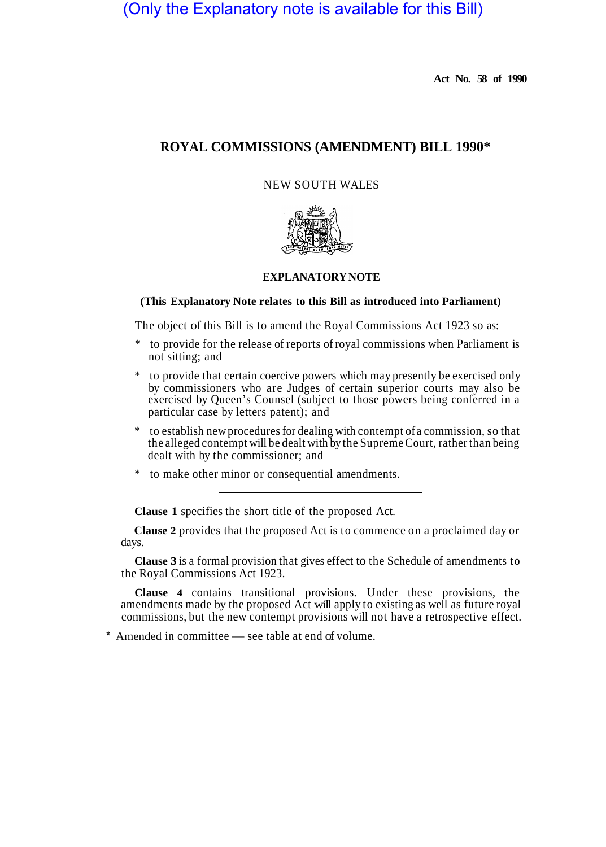# (Only the Explanatory note is available for this Bill)

**Act No. 58 of 1990** 

## **ROYAL COMMISSIONS (AMENDMENT) BILL 1990\***

## NEW SOUTH WALES



## **EXPLANATORY NOTE**

#### **(This Explanatory Note relates to this Bill as introduced into Parliament)**

The object of this Bill is to amend the Royal Commissions Act 1923 so as:

- \* to provide for the release of reports of royal commissions when Parliament is not sitting; and
- to provide that certain coercive powers which may presently be exercised only by commissioners who are Judges of certain superior courts may also be exercised by Queen's Counsel (subject to those powers being conferred in a particular case by letters patent); and
- to establish new procedures for dealing with contempt of a commission, so that the alleged contempt will be dealt with by the Supreme Court, rather than being dealt with by the commissioner; and
- \* to make other minor or consequential amendments.

**Clause 1** specifies the short title of the proposed Act.

**Clause 2** provides that the proposed Act is to commence on a proclaimed day or days.

**Clause 3** is a formal provision that gives effect to the Schedule of amendments to the Royal Commissions Act 1923.

**Clause 4** contains transitional provisions. Under these provisions, the amendments made by the proposed Act will apply to existing as well as future royal commissions, but the new contempt provisions will not have a retrospective effect.

Amended in committee — see table at end of volume.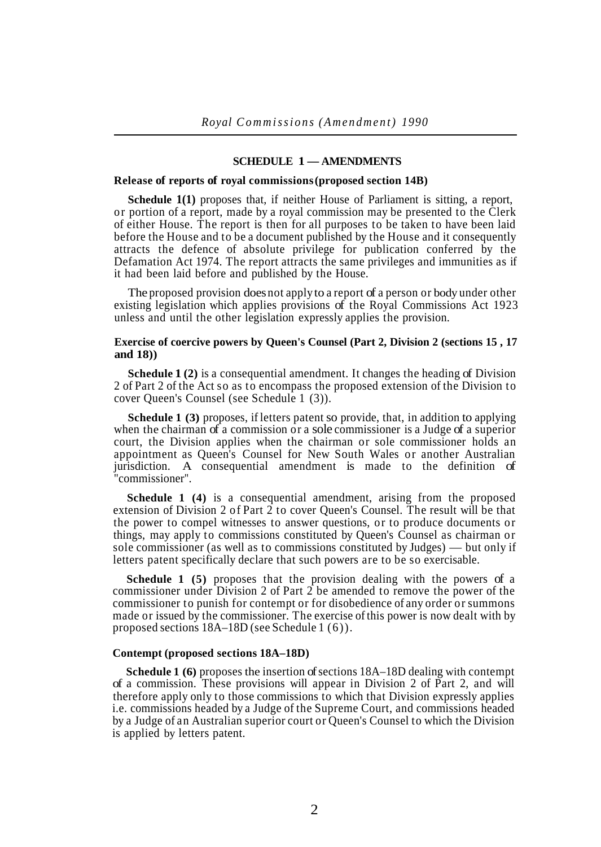#### **SCHEDULE 1 — AMENDMENTS**

#### **Release of reports of royal commissions (proposed section 14B)**

**Schedule 1(1)** proposes that, if neither House of Parliament is sitting, a report, or portion of a report, made by a royal commission may be presented to the Clerk of either House. The report is then for all purposes to be taken to have been laid before the House and to be a document published by the House and it consequently attracts the defence of absolute privilege for publication conferred by the Defamation Act 1974. The report attracts the same privileges and immunities as if it had been laid before and published by the House.

The proposed provision does not apply to a report of a person or body under other existing legislation which applies provisions of the Royal Commissions Act 1923 unless and until the other legislation expressly applies the provision.

### **Exercise of coercive powers by Queen's Counsel (Part 2, Division 2 (sections 15 , 17 and 18))**

**Schedule 1 (2)** is a consequential amendment. It changes the heading of Division 2 of Part 2 of the Act so as to encompass the proposed extension of the Division to cover Queen's Counsel (see Schedule 1 (3)).

**Schedule 1 (3)** proposes, if letters patent so provide, that, in addition to applying when the chairman of a commission or a sole commissioner is a Judge of a superior court, the Division applies when the chairman or sole commissioner holds an appointment as Queen's Counsel for New South Wales or another Australian jurisdiction. A consequential amendment is made to the definition of "commissioner".

**Schedule 1 (4)** is a consequential amendment, arising from the proposed extension of Division 2 of Part 2 to cover Queen's Counsel. The result will be that the power to compel witnesses to answer questions, or to produce documents or things, may apply to commissions constituted by Queen's Counsel as chairman or sole commissioner (as well as to commissions constituted by Judges) — but only if letters patent specifically declare that such powers are to be so exercisable.

**Schedule 1 (5)** proposes that the provision dealing with the powers of a commissioner under Division 2 of Part 2 be amended to remove the power of the commissioner to punish for contempt or for disobedience of any order or summons made or issued by the commissioner. The exercise of this power is now dealt with by proposed sections 18A–18D (see Schedule 1 (6)).

#### **Contempt (proposed sections 18A–18D)**

**Schedule 1 (6)** proposes the insertion of sections 18A–18D dealing with contempt of a commission. These provisions will appear in Division 2 of Part 2, and will therefore apply only to those commissions to which that Division expressly applies i.e. commissions headed by a Judge of the Supreme Court, and commissions headed by a Judge of an Australian superior court or Queen's Counsel to which the Division is applied by letters patent.